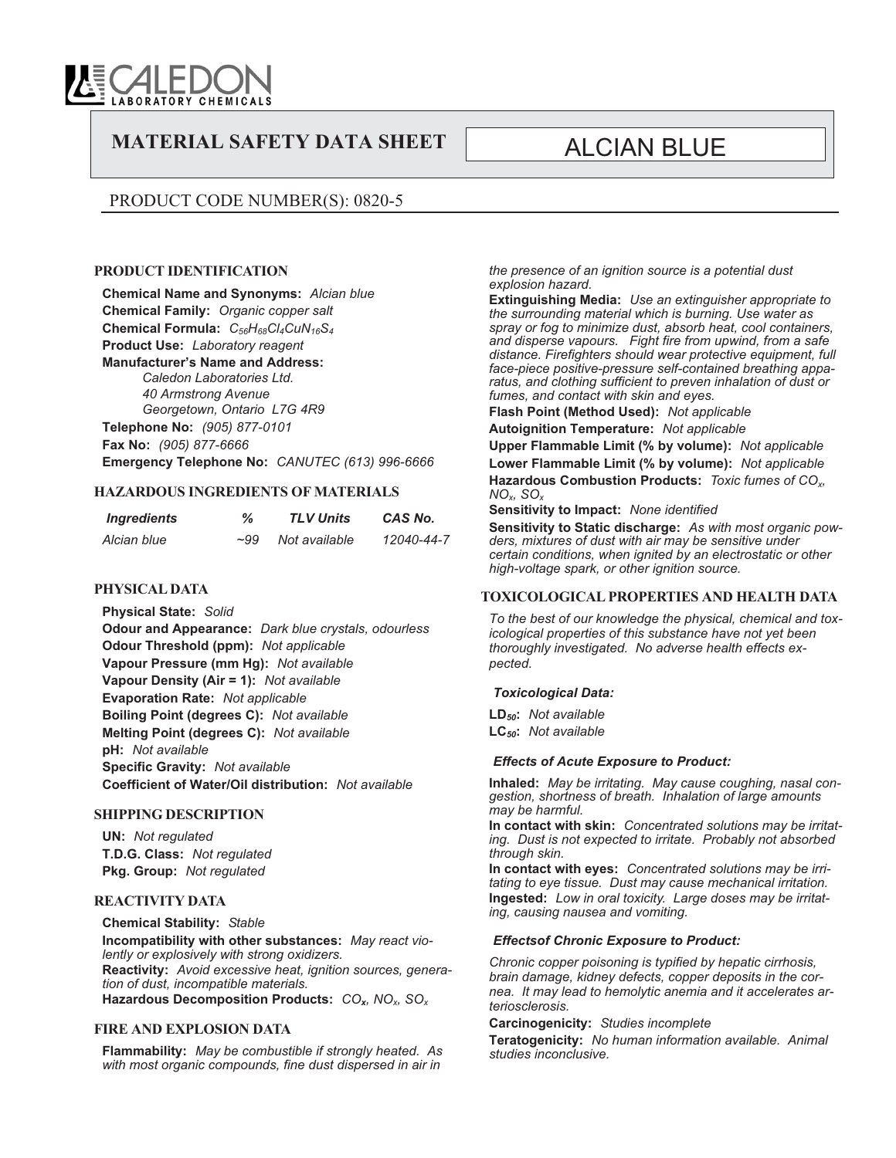

# **MATERIAL SAFETY DATA SHEET** ALCIAN BLUE

# PRODUCT CODE NUMBER(S): 0820-5

#### **PRODUCT IDENTIFICATION**

**Chemical Name and Synonyms:** *Alcian blue* **Chemical Family:** *Organic copper salt* **Chemical Formula:** *C56H68Cl4CuN16S4* **Product Use:** *Laboratory reagent* **Manufacturer's Name and Address:** *Caledon Laboratories Ltd. 40 Armstrong Avenue Georgetown, Ontario L7G 4R9* **Telephone No:** *(905) 877-0101* **Fax No:** *(905) 877-6666* **Emergency Telephone No:** *CANUTEC (613) 996-6666*

# **HAZARDOUS INGREDIENTS OF MATERIALS**

| <i><u><b>Ingredients</b></u></i> | ℅     | <b>TLV Units</b> | CAS No.    |
|----------------------------------|-------|------------------|------------|
| Alcian blue                      | $-99$ | Not available    | 12040-44-7 |

# **PHYSICAL DATA**

**Physical State:** *Solid* **Odour and Appearance:** *Dark blue crystals, odourless* **Odour Threshold (ppm):** *Not applicable* **Vapour Pressure (mm Hg):** *Not available* **Vapour Density (Air = 1):** *Not available* **Evaporation Rate:** *Not applicable* **Boiling Point (degrees C):** *Not available* **Melting Point (degrees C):** *Not available* **pH:** *Not available* **Specific Gravity:** *Not available* **Coefficient of Water/Oil distribution:** *Not available*

#### **SHIPPING DESCRIPTION**

**UN:** *Not regulated* **T.D.G. Class:** *Not regulated* **Pkg. Group:** *Not regulated*

# **REACTIVITY DATA**

**Chemical Stability:** *Stable*

**Incompatibility with other substances:** *May react violently or explosively with strong oxidizers.* **Reactivity:** *Avoid excessive heat, ignition sources, generation of dust, incompatible materials.* **Hazardous Decomposition Products:** *COx, NOx, SOx*

# **FIRE AND EXPLOSION DATA**

**Flammability:** *May be combustible if strongly heated. As with most organic compounds, fine dust dispersed in air in*

*the presence of an ignition source is a potential dust explosion hazard.*

**Extinguishing Media:** *Use an extinguisher appropriate to the surrounding material which is burning. Use water as spray or fog to minimize dust, absorb heat, cool containers, and disperse vapours. Fight fire from upwind, from a safe distance. Firefighters should wear protective equipment, full face-piece positive-pressure self-contained breathing apparatus, and clothing sufficient to preven inhalation of dust or fumes, and contact with skin and eyes.*

**Flash Point (Method Used):** *Not applicable*

**Autoignition Temperature:** *Not applicable*

**Upper Flammable Limit (% by volume):** *Not applicable* **Lower Flammable Limit (% by volume):** *Not applicable* **Hazardous Combustion Products:** *Toxic fumes of COx, NOx, SOx*

**Sensitivity to Impact:** *None identified*

**Sensitivity to Static discharge:** *As with most organic powders, mixtures of dust with air may be sensitive under certain conditions, when ignited by an electrostatic or other high-voltage spark, or other ignition source.*

## **TOXICOLOGICAL PROPERTIES AND HEALTH DATA**

*To the best of our knowledge the physical, chemical and toxicological properties of this substance have not yet been thoroughly investigated. No adverse health effects expected.*

#### *Toxicological Data:*

**LD***50***:** *Not available* **LC***50***:** *Not available*

#### *Effects of Acute Exposure to Product:*

**Inhaled:** *May be irritating. May cause coughing, nasal congestion, shortness of breath. Inhalation of large amounts may be harmful.*

**In contact with skin:** *Concentrated solutions may be irritating. Dust is not expected to irritate. Probably not absorbed through skin.*

**In contact with eyes:** *Concentrated solutions may be irritating to eye tissue. Dust may cause mechanical irritation.* **Ingested:** *Low in oral toxicity. Large doses may be irritating, causing nausea and vomiting.*

#### *Effectsof Chronic Exposure to Product:*

*Chronic copper poisoning is typified by hepatic cirrhosis, brain damage, kidney defects, copper deposits in the cornea. It may lead to hemolytic anemia and it accelerates arteriosclerosis.*

#### **Carcinogenicity:** *Studies incomplete*

**Teratogenicity:** *No human information available. Animal studies inconclusive.*